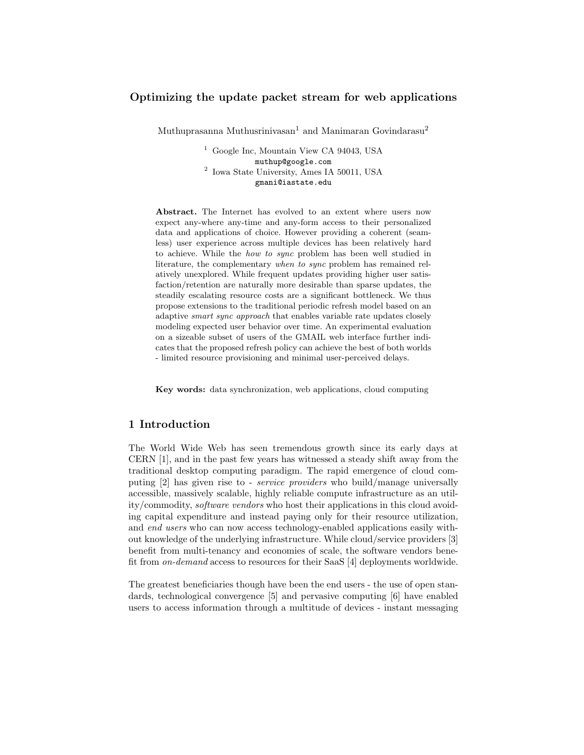## Optimizing the update packet stream for web applications

Muthuprasanna Muthusrinivasan<sup>1</sup> and Manimaran Govindarasu<sup>2</sup>

<sup>1</sup> Google Inc, Mountain View CA 94043, USA muthup@google.com 2 Iowa State University, Ames IA 50011, USA gmani@iastate.edu

Abstract. The Internet has evolved to an extent where users now expect any-where any-time and any-form access to their personalized data and applications of choice. However providing a coherent (seamless) user experience across multiple devices has been relatively hard to achieve. While the how to sync problem has been well studied in literature, the complementary when to sync problem has remained relatively unexplored. While frequent updates providing higher user satisfaction/retention are naturally more desirable than sparse updates, the steadily escalating resource costs are a significant bottleneck. We thus propose extensions to the traditional periodic refresh model based on an adaptive smart sync approach that enables variable rate updates closely modeling expected user behavior over time. An experimental evaluation on a sizeable subset of users of the GMAIL web interface further indicates that the proposed refresh policy can achieve the best of both worlds - limited resource provisioning and minimal user-perceived delays.

Key words: data synchronization, web applications, cloud computing

## 1 Introduction

The World Wide Web has seen tremendous growth since its early days at CERN [1], and in the past few years has witnessed a steady shift away from the traditional desktop computing paradigm. The rapid emergence of cloud computing [2] has given rise to - service providers who build/manage universally accessible, massively scalable, highly reliable compute infrastructure as an utility/commodity, software vendors who host their applications in this cloud avoiding capital expenditure and instead paying only for their resource utilization, and *end users* who can now access technology-enabled applications easily without knowledge of the underlying infrastructure. While cloud/service providers [3] benefit from multi-tenancy and economies of scale, the software vendors benefit from on-demand access to resources for their SaaS [4] deployments worldwide.

The greatest beneficiaries though have been the end users - the use of open standards, technological convergence [5] and pervasive computing [6] have enabled users to access information through a multitude of devices - instant messaging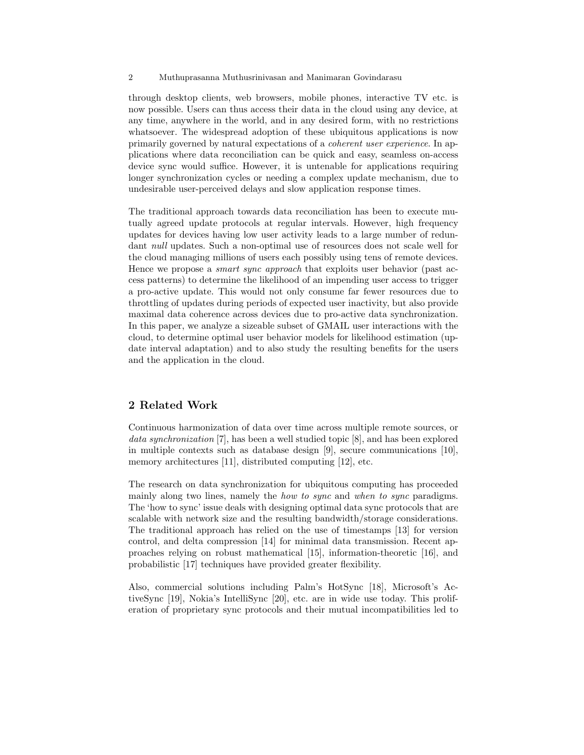through desktop clients, web browsers, mobile phones, interactive TV etc. is now possible. Users can thus access their data in the cloud using any device, at any time, anywhere in the world, and in any desired form, with no restrictions whatsoever. The widespread adoption of these ubiquitous applications is now primarily governed by natural expectations of a coherent user experience. In applications where data reconciliation can be quick and easy, seamless on-access device sync would suffice. However, it is untenable for applications requiring longer synchronization cycles or needing a complex update mechanism, due to undesirable user-perceived delays and slow application response times.

The traditional approach towards data reconciliation has been to execute mutually agreed update protocols at regular intervals. However, high frequency updates for devices having low user activity leads to a large number of redundant null updates. Such a non-optimal use of resources does not scale well for the cloud managing millions of users each possibly using tens of remote devices. Hence we propose a *smart sync approach* that exploits user behavior (past access patterns) to determine the likelihood of an impending user access to trigger a pro-active update. This would not only consume far fewer resources due to throttling of updates during periods of expected user inactivity, but also provide maximal data coherence across devices due to pro-active data synchronization. In this paper, we analyze a sizeable subset of GMAIL user interactions with the cloud, to determine optimal user behavior models for likelihood estimation (update interval adaptation) and to also study the resulting benefits for the users and the application in the cloud.

## 2 Related Work

Continuous harmonization of data over time across multiple remote sources, or data synchronization [7], has been a well studied topic [8], and has been explored in multiple contexts such as database design [9], secure communications [10], memory architectures [11], distributed computing [12], etc.

The research on data synchronization for ubiquitous computing has proceeded mainly along two lines, namely the *how to sync* and *when to sync* paradigms. The 'how to sync' issue deals with designing optimal data sync protocols that are scalable with network size and the resulting bandwidth/storage considerations. The traditional approach has relied on the use of timestamps [13] for version control, and delta compression [14] for minimal data transmission. Recent approaches relying on robust mathematical [15], information-theoretic [16], and probabilistic [17] techniques have provided greater flexibility.

Also, commercial solutions including Palm's HotSync [18], Microsoft's ActiveSync [19], Nokia's IntelliSync [20], etc. are in wide use today. This proliferation of proprietary sync protocols and their mutual incompatibilities led to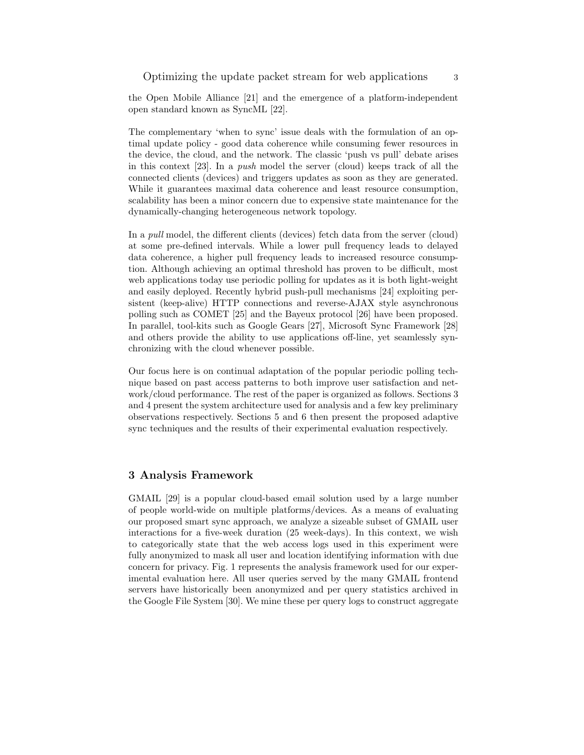the Open Mobile Alliance [21] and the emergence of a platform-independent open standard known as SyncML [22].

The complementary 'when to sync' issue deals with the formulation of an optimal update policy - good data coherence while consuming fewer resources in the device, the cloud, and the network. The classic 'push vs pull' debate arises in this context [23]. In a push model the server (cloud) keeps track of all the connected clients (devices) and triggers updates as soon as they are generated. While it guarantees maximal data coherence and least resource consumption, scalability has been a minor concern due to expensive state maintenance for the dynamically-changing heterogeneous network topology.

In a pull model, the different clients (devices) fetch data from the server (cloud) at some pre-defined intervals. While a lower pull frequency leads to delayed data coherence, a higher pull frequency leads to increased resource consumption. Although achieving an optimal threshold has proven to be difficult, most web applications today use periodic polling for updates as it is both light-weight and easily deployed. Recently hybrid push-pull mechanisms [24] exploiting persistent (keep-alive) HTTP connections and reverse-AJAX style asynchronous polling such as COMET [25] and the Bayeux protocol [26] have been proposed. In parallel, tool-kits such as Google Gears [27], Microsoft Sync Framework [28] and others provide the ability to use applications off-line, yet seamlessly synchronizing with the cloud whenever possible.

Our focus here is on continual adaptation of the popular periodic polling technique based on past access patterns to both improve user satisfaction and network/cloud performance. The rest of the paper is organized as follows. Sections 3 and 4 present the system architecture used for analysis and a few key preliminary observations respectively. Sections 5 and 6 then present the proposed adaptive sync techniques and the results of their experimental evaluation respectively.

### 3 Analysis Framework

GMAIL [29] is a popular cloud-based email solution used by a large number of people world-wide on multiple platforms/devices. As a means of evaluating our proposed smart sync approach, we analyze a sizeable subset of GMAIL user interactions for a five-week duration (25 week-days). In this context, we wish to categorically state that the web access logs used in this experiment were fully anonymized to mask all user and location identifying information with due concern for privacy. Fig. 1 represents the analysis framework used for our experimental evaluation here. All user queries served by the many GMAIL frontend servers have historically been anonymized and per query statistics archived in the Google File System [30]. We mine these per query logs to construct aggregate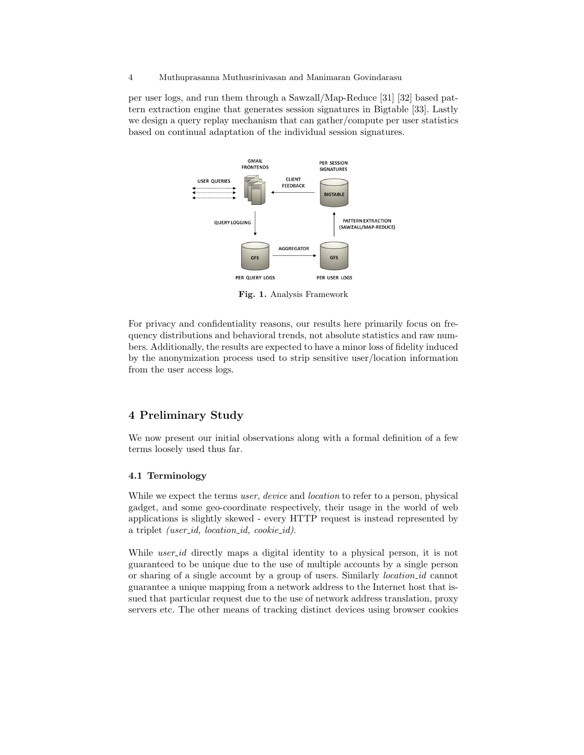per user logs, and run them through a Sawzall/Map-Reduce [31] [32] based pattern extraction engine that generates session signatures in Bigtable [33]. Lastly we design a query replay mechanism that can gather/compute per user statistics based on continual adaptation of the individual session signatures.



Fig. 1. Analysis Framework

For privacy and confidentiality reasons, our results here primarily focus on frequency distributions and behavioral trends, not absolute statistics and raw numbers. Additionally, the results are expected to have a minor loss of fidelity induced by the anonymization process used to strip sensitive user/location information from the user access logs.

## 4 Preliminary Study

We now present our initial observations along with a formal definition of a few terms loosely used thus far.

### 4.1 Terminology

While we expect the terms *user, device* and *location* to refer to a person, physical gadget, and some geo-coordinate respectively, their usage in the world of web applications is slightly skewed - every HTTP request is instead represented by a triplet *(user\_id, location\_id, cookie\_id)*.

While *user id* directly maps a digital identity to a physical person, it is not guaranteed to be unique due to the use of multiple accounts by a single person or sharing of a single account by a group of users. Similarly location id cannot guarantee a unique mapping from a network address to the Internet host that issued that particular request due to the use of network address translation, proxy servers etc. The other means of tracking distinct devices using browser cookies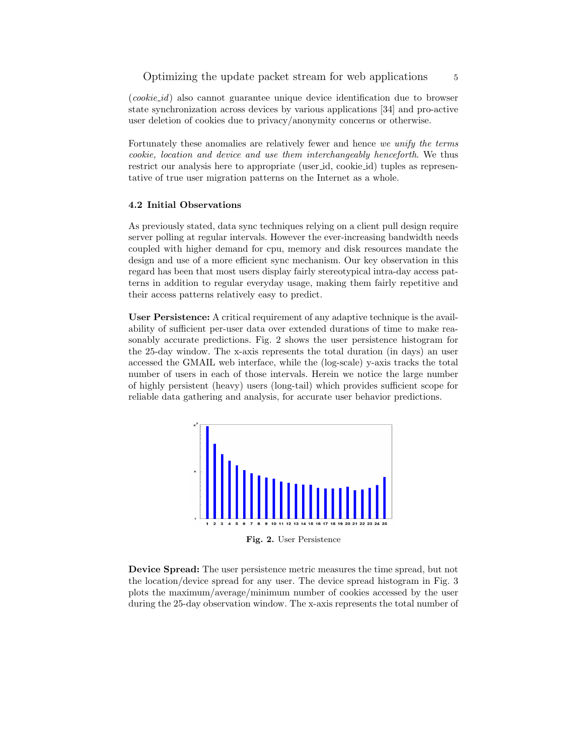$(cookie_id)$  also cannot guarantee unique device identification due to browser state synchronization across devices by various applications [34] and pro-active user deletion of cookies due to privacy/anonymity concerns or otherwise.

Fortunately these anomalies are relatively fewer and hence we unify the terms cookie, location and device and use them interchangeably henceforth. We thus restrict our analysis here to appropriate (user id, cookie id) tuples as representative of true user migration patterns on the Internet as a whole.

## 4.2 Initial Observations

As previously stated, data sync techniques relying on a client pull design require server polling at regular intervals. However the ever-increasing bandwidth needs coupled with higher demand for cpu, memory and disk resources mandate the design and use of a more efficient sync mechanism. Our key observation in this regard has been that most users display fairly stereotypical intra-day access patterns in addition to regular everyday usage, making them fairly repetitive and their access patterns relatively easy to predict.

User Persistence: A critical requirement of any adaptive technique is the availability of sufficient per-user data over extended durations of time to make reasonably accurate predictions. Fig. 2 shows the user persistence histogram for the 25-day window. The x-axis represents the total duration (in days) an user accessed the GMAIL web interface, while the (log-scale) y-axis tracks the total number of users in each of those intervals. Herein we notice the large number of highly persistent (heavy) users (long-tail) which provides sufficient scope for reliable data gathering and analysis, for accurate user behavior predictions.



Fig. 2. User Persistence

Device Spread: The user persistence metric measures the time spread, but not the location/device spread for any user. The device spread histogram in Fig. 3 plots the maximum/average/minimum number of cookies accessed by the user during the 25-day observation window. The x-axis represents the total number of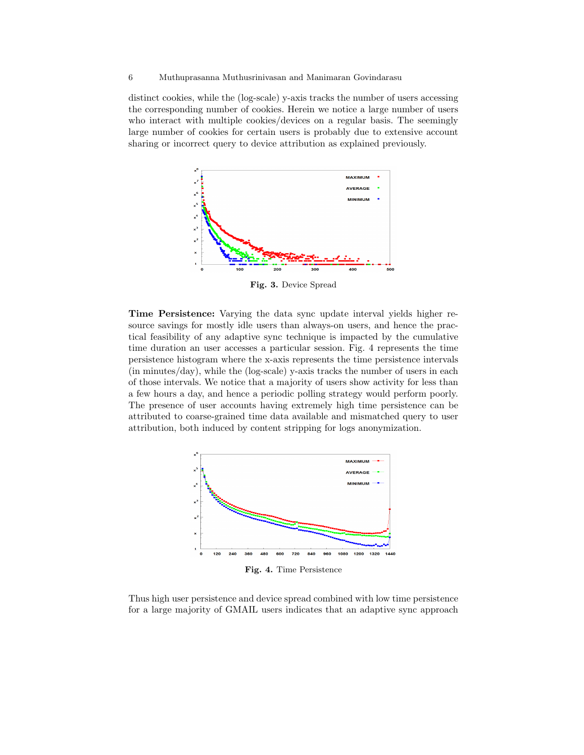distinct cookies, while the (log-scale) y-axis tracks the number of users accessing the corresponding number of cookies. Herein we notice a large number of users who interact with multiple cookies/devices on a regular basis. The seemingly large number of cookies for certain users is probably due to extensive account sharing or incorrect query to device attribution as explained previously.



Fig. 3. Device Spread

Time Persistence: Varying the data sync update interval yields higher resource savings for mostly idle users than always-on users, and hence the practical feasibility of any adaptive sync technique is impacted by the cumulative time duration an user accesses a particular session. Fig. 4 represents the time persistence histogram where the x-axis represents the time persistence intervals (in minutes/day), while the (log-scale) y-axis tracks the number of users in each of those intervals. We notice that a majority of users show activity for less than a few hours a day, and hence a periodic polling strategy would perform poorly. The presence of user accounts having extremely high time persistence can be attributed to coarse-grained time data available and mismatched query to user attribution, both induced by content stripping for logs anonymization.



Fig. 4. Time Persistence

Thus high user persistence and device spread combined with low time persistence for a large majority of GMAIL users indicates that an adaptive sync approach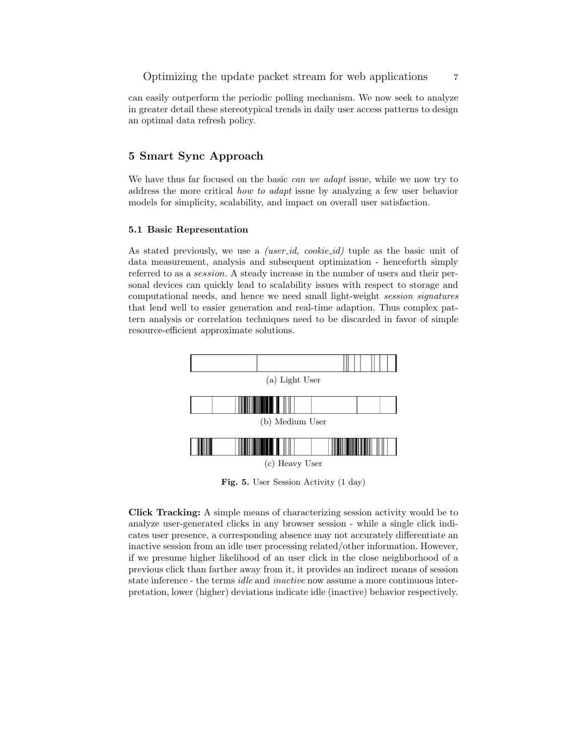can easily outperform the periodic polling mechanism. We now seek to analyze in greater detail these stereotypical trends in daily user access patterns to design an optimal data refresh policy.

# 5 Smart Sync Approach

We have thus far focused on the basic *can we adapt* issue, while we now try to address the more critical how to adapt issue by analyzing a few user behavior models for simplicity, scalability, and impact on overall user satisfaction.

#### 5.1 Basic Representation

As stated previously, we use a *(user<sub>id, cookie id)* tuple as the basic unit of</sub> data measurement, analysis and subsequent optimization - henceforth simply referred to as a session. A steady increase in the number of users and their personal devices can quickly lead to scalability issues with respect to storage and computational needs, and hence we need small light-weight session signatures that lend well to easier generation and real-time adaption. Thus complex pattern analysis or correlation techniques need to be discarded in favor of simple resource-efficient approximate solutions.



Fig. 5. User Session Activity (1 day)

Click Tracking: A simple means of characterizing session activity would be to analyze user-generated clicks in any browser session - while a single click indicates user presence, a corresponding absence may not accurately differentiate an inactive session from an idle user processing related/other information. However, if we presume higher likelihood of an user click in the close neighborhood of a previous click than farther away from it, it provides an indirect means of session state inference - the terms *idle* and *inactive* now assume a more continuous interpretation, lower (higher) deviations indicate idle (inactive) behavior respectively.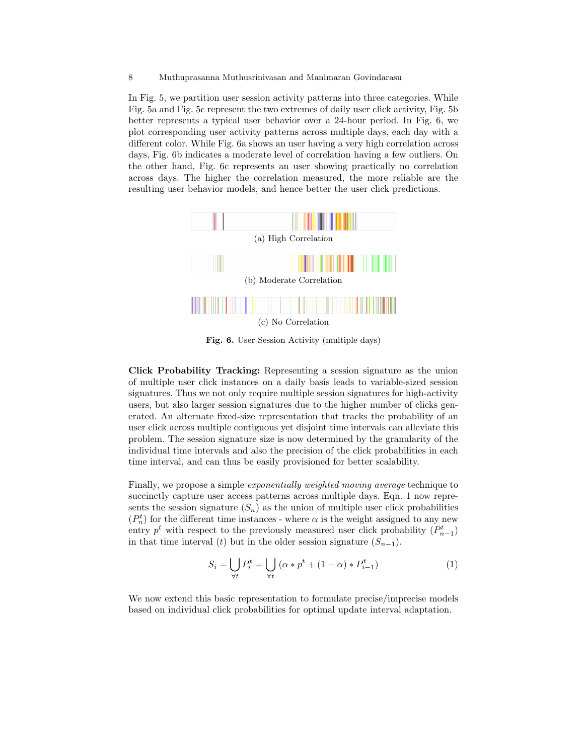8 Muthuprasanna Muthusrinivasan and Manimaran Govindarasu

In Fig. 5, we partition user session activity patterns into three categories. While Fig. 5a and Fig. 5c represent the two extremes of daily user click activity, Fig. 5b better represents a typical user behavior over a 24-hour period. In Fig. 6, we plot corresponding user activity patterns across multiple days, each day with a different color. While Fig. 6a shows an user having a very high correlation across days, Fig. 6b indicates a moderate level of correlation having a few outliers. On the other hand, Fig. 6c represents an user showing practically no correlation across days. The higher the correlation measured, the more reliable are the resulting user behavior models, and hence better the user click predictions.



Fig. 6. User Session Activity (multiple days)

Click Probability Tracking: Representing a session signature as the union of multiple user click instances on a daily basis leads to variable-sized session signatures. Thus we not only require multiple session signatures for high-activity users, but also larger session signatures due to the higher number of clicks generated. An alternate fixed-size representation that tracks the probability of an user click across multiple contiguous yet disjoint time intervals can alleviate this problem. The session signature size is now determined by the granularity of the individual time intervals and also the precision of the click probabilities in each time interval, and can thus be easily provisioned for better scalability.

Finally, we propose a simple exponentially weighted moving average technique to succinctly capture user access patterns across multiple days. Eqn. 1 now represents the session signature  $(S_n)$  as the union of multiple user click probabilities  $(P_n^t)$  for the different time instances - where  $\alpha$  is the weight assigned to any new entry  $p<sup>t</sup>$  with respect to the previously measured user click probability  $(P<sup>t</sup><sub>n-1</sub>)$ in that time interval (t) but in the older session signature  $(S_{n-1})$ .

$$
S_i = \bigcup_{\forall t} P_i^t = \bigcup_{\forall t} (\alpha * p^t + (1 - \alpha) * P_{i-1}^t)
$$
 (1)

We now extend this basic representation to formulate precise/imprecise models based on individual click probabilities for optimal update interval adaptation.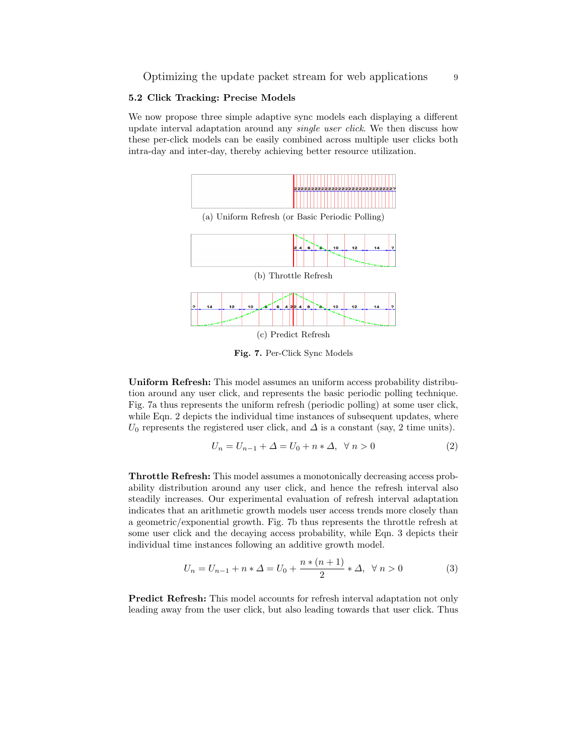#### 5.2 Click Tracking: Precise Models

We now propose three simple adaptive sync models each displaying a different update interval adaptation around any single user click. We then discuss how these per-click models can be easily combined across multiple user clicks both intra-day and inter-day, thereby achieving better resource utilization.



Fig. 7. Per-Click Sync Models

Uniform Refresh: This model assumes an uniform access probability distribution around any user click, and represents the basic periodic polling technique. Fig. 7a thus represents the uniform refresh (periodic polling) at some user click, while Eqn. 2 depicts the individual time instances of subsequent updates, where  $U_0$  represents the registered user click, and  $\Delta$  is a constant (say, 2 time units).

$$
U_n = U_{n-1} + \Delta = U_0 + n * \Delta, \ \forall n > 0
$$
 (2)

Throttle Refresh: This model assumes a monotonically decreasing access probability distribution around any user click, and hence the refresh interval also steadily increases. Our experimental evaluation of refresh interval adaptation indicates that an arithmetic growth models user access trends more closely than a geometric/exponential growth. Fig. 7b thus represents the throttle refresh at some user click and the decaying access probability, while Eqn. 3 depicts their individual time instances following an additive growth model.

$$
U_n = U_{n-1} + n * \Delta = U_0 + \frac{n * (n+1)}{2} * \Delta, \ \forall n > 0
$$
 (3)

Predict Refresh: This model accounts for refresh interval adaptation not only leading away from the user click, but also leading towards that user click. Thus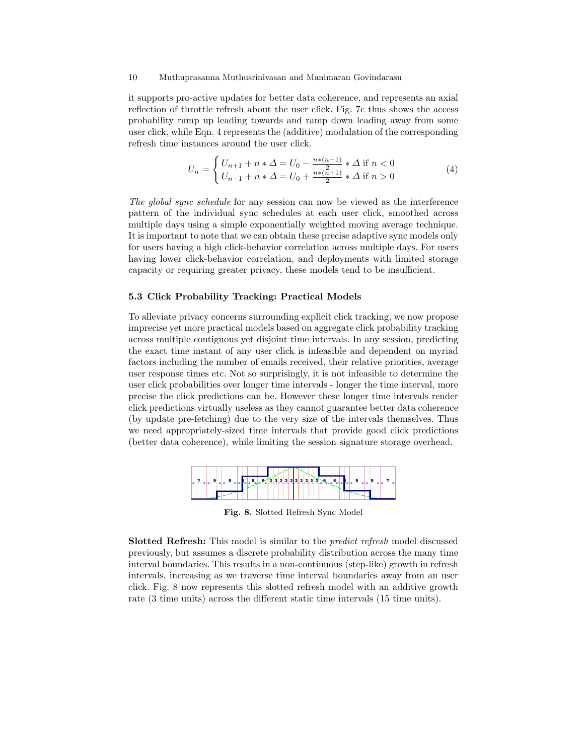it supports pro-active updates for better data coherence, and represents an axial reflection of throttle refresh about the user click. Fig. 7c thus shows the access probability ramp up leading towards and ramp down leading away from some user click, while Eqn. 4 represents the (additive) modulation of the corresponding refresh time instances around the user click.

$$
U_n = \begin{cases} U_{n+1} + n * \Delta = U_0 - \frac{n * (n-1)}{2} * \Delta \text{ if } n < 0\\ U_{n-1} + n * \Delta = U_0 + \frac{n * (n+1)}{2} * \Delta \text{ if } n > 0 \end{cases}
$$
(4)

The global sync schedule for any session can now be viewed as the interference pattern of the individual sync schedules at each user click, smoothed across multiple days using a simple exponentially weighted moving average technique. It is important to note that we can obtain these precise adaptive sync models only for users having a high click-behavior correlation across multiple days. For users having lower click-behavior correlation, and deployments with limited storage capacity or requiring greater privacy, these models tend to be insufficient.

### 5.3 Click Probability Tracking: Practical Models

To alleviate privacy concerns surrounding explicit click tracking, we now propose imprecise yet more practical models based on aggregate click probability tracking across multiple contiguous yet disjoint time intervals. In any session, predicting the exact time instant of any user click is infeasible and dependent on myriad factors including the number of emails received, their relative priorities, average user response times etc. Not so surprisingly, it is not infeasible to determine the user click probabilities over longer time intervals - longer the time interval, more precise the click predictions can be. However these longer time intervals render click predictions virtually useless as they cannot guarantee better data coherence (by update pre-fetching) due to the very size of the intervals themselves. Thus we need appropriately-sized time intervals that provide good click predictions (better data coherence), while limiting the session signature storage overhead.



Fig. 8. Slotted Refresh Sync Model

Slotted Refresh: This model is similar to the predict refresh model discussed previously, but assumes a discrete probability distribution across the many time interval boundaries. This results in a non-continuous (step-like) growth in refresh intervals, increasing as we traverse time interval boundaries away from an user click. Fig. 8 now represents this slotted refresh model with an additive growth rate (3 time units) across the different static time intervals (15 time units).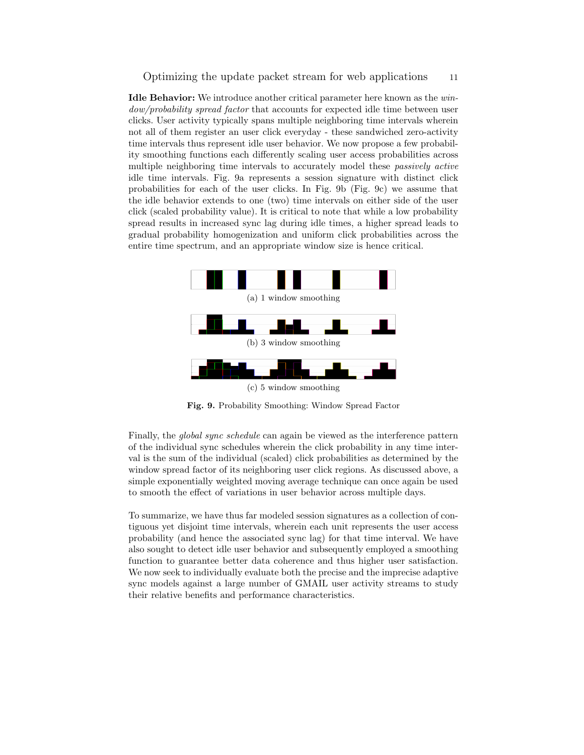Idle Behavior: We introduce another critical parameter here known as the window/probability spread factor that accounts for expected idle time between user clicks. User activity typically spans multiple neighboring time intervals wherein not all of them register an user click everyday - these sandwiched zero-activity time intervals thus represent idle user behavior. We now propose a few probability smoothing functions each differently scaling user access probabilities across multiple neighboring time intervals to accurately model these passively active idle time intervals. Fig. 9a represents a session signature with distinct click probabilities for each of the user clicks. In Fig. 9b (Fig. 9c) we assume that the idle behavior extends to one (two) time intervals on either side of the user click (scaled probability value). It is critical to note that while a low probability spread results in increased sync lag during idle times, a higher spread leads to gradual probability homogenization and uniform click probabilities across the entire time spectrum, and an appropriate window size is hence critical.



Fig. 9. Probability Smoothing: Window Spread Factor

Finally, the global sync schedule can again be viewed as the interference pattern of the individual sync schedules wherein the click probability in any time interval is the sum of the individual (scaled) click probabilities as determined by the window spread factor of its neighboring user click regions. As discussed above, a simple exponentially weighted moving average technique can once again be used to smooth the effect of variations in user behavior across multiple days.

To summarize, we have thus far modeled session signatures as a collection of contiguous yet disjoint time intervals, wherein each unit represents the user access probability (and hence the associated sync lag) for that time interval. We have also sought to detect idle user behavior and subsequently employed a smoothing function to guarantee better data coherence and thus higher user satisfaction. We now seek to individually evaluate both the precise and the imprecise adaptive sync models against a large number of GMAIL user activity streams to study their relative benefits and performance characteristics.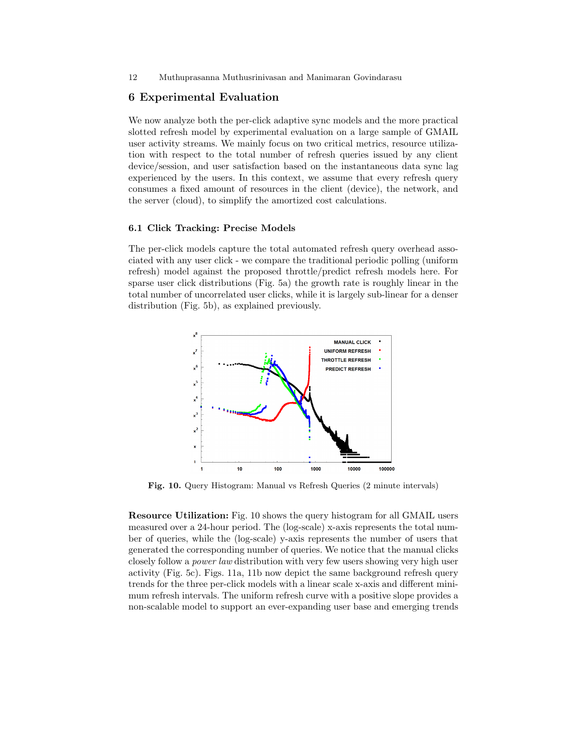### 6 Experimental Evaluation

We now analyze both the per-click adaptive sync models and the more practical slotted refresh model by experimental evaluation on a large sample of GMAIL user activity streams. We mainly focus on two critical metrics, resource utilization with respect to the total number of refresh queries issued by any client device/session, and user satisfaction based on the instantaneous data sync lag experienced by the users. In this context, we assume that every refresh query consumes a fixed amount of resources in the client (device), the network, and the server (cloud), to simplify the amortized cost calculations.

### 6.1 Click Tracking: Precise Models

The per-click models capture the total automated refresh query overhead associated with any user click - we compare the traditional periodic polling (uniform refresh) model against the proposed throttle/predict refresh models here. For sparse user click distributions (Fig. 5a) the growth rate is roughly linear in the total number of uncorrelated user clicks, while it is largely sub-linear for a denser distribution (Fig. 5b), as explained previously.



Fig. 10. Query Histogram: Manual vs Refresh Queries (2 minute intervals)

Resource Utilization: Fig. 10 shows the query histogram for all GMAIL users measured over a 24-hour period. The (log-scale) x-axis represents the total number of queries, while the (log-scale) y-axis represents the number of users that generated the corresponding number of queries. We notice that the manual clicks closely follow a power law distribution with very few users showing very high user activity (Fig. 5c). Figs. 11a, 11b now depict the same background refresh query trends for the three per-click models with a linear scale x-axis and different minimum refresh intervals. The uniform refresh curve with a positive slope provides a non-scalable model to support an ever-expanding user base and emerging trends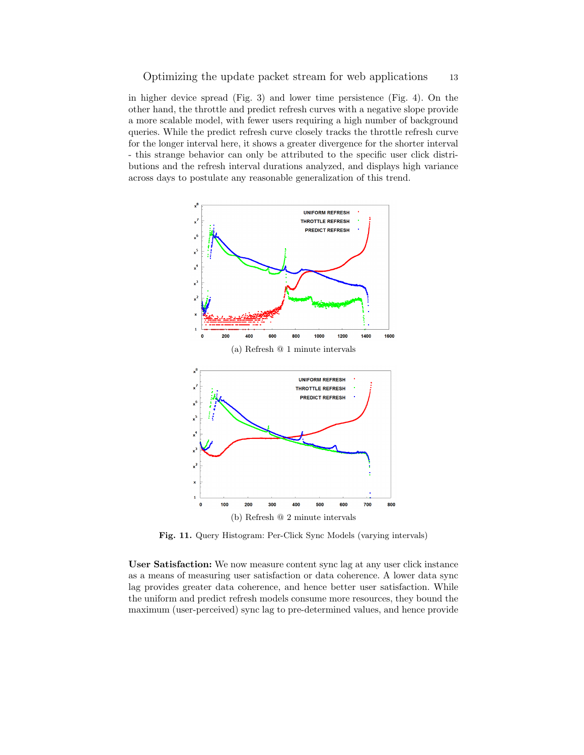in higher device spread (Fig. 3) and lower time persistence (Fig. 4). On the other hand, the throttle and predict refresh curves with a negative slope provide a more scalable model, with fewer users requiring a high number of background queries. While the predict refresh curve closely tracks the throttle refresh curve for the longer interval here, it shows a greater divergence for the shorter interval - this strange behavior can only be attributed to the specific user click distributions and the refresh interval durations analyzed, and displays high variance across days to postulate any reasonable generalization of this trend.



Fig. 11. Query Histogram: Per-Click Sync Models (varying intervals)

User Satisfaction: We now measure content sync lag at any user click instance as a means of measuring user satisfaction or data coherence. A lower data sync lag provides greater data coherence, and hence better user satisfaction. While the uniform and predict refresh models consume more resources, they bound the maximum (user-perceived) sync lag to pre-determined values, and hence provide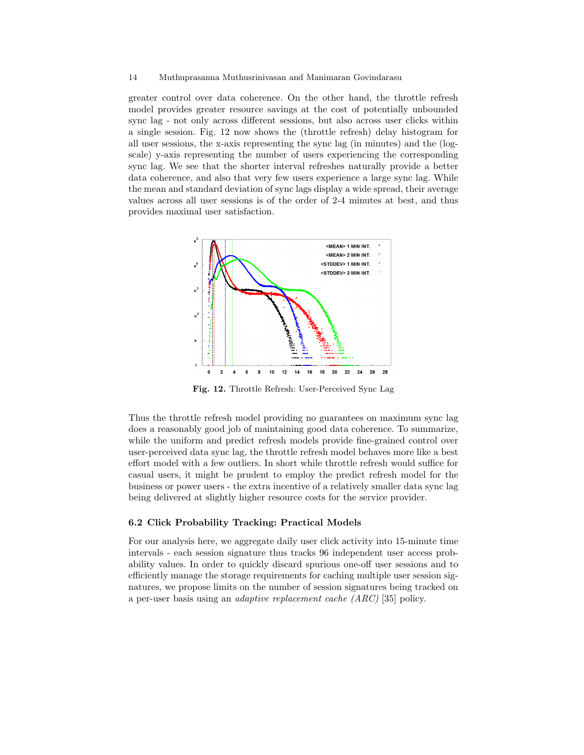greater control over data coherence. On the other hand, the throttle refresh model provides greater resource savings at the cost of potentially unbounded sync lag - not only across different sessions, but also across user clicks within a single session. Fig. 12 now shows the (throttle refresh) delay histogram for all user sessions, the x-axis representing the sync lag (in minutes) and the (logscale) y-axis representing the number of users experiencing the corresponding sync lag. We see that the shorter interval refreshes naturally provide a better data coherence, and also that very few users experience a large sync lag. While the mean and standard deviation of sync lags display a wide spread, their average values across all user sessions is of the order of 2-4 minutes at best, and thus provides maximal user satisfaction.



Fig. 12. Throttle Refresh: User-Perceived Sync Lag

Thus the throttle refresh model providing no guarantees on maximum sync lag does a reasonably good job of maintaining good data coherence. To summarize, while the uniform and predict refresh models provide fine-grained control over user-perceived data sync lag, the throttle refresh model behaves more like a best effort model with a few outliers. In short while throttle refresh would suffice for casual users, it might be prudent to employ the predict refresh model for the business or power users - the extra incentive of a relatively smaller data sync lag being delivered at slightly higher resource costs for the service provider.

### 6.2 Click Probability Tracking: Practical Models

For our analysis here, we aggregate daily user click activity into 15-minute time intervals - each session signature thus tracks 96 independent user access probability values. In order to quickly discard spurious one-off user sessions and to efficiently manage the storage requirements for caching multiple user session signatures, we propose limits on the number of session signatures being tracked on a per-user basis using an adaptive replacement cache (ARC) [35] policy.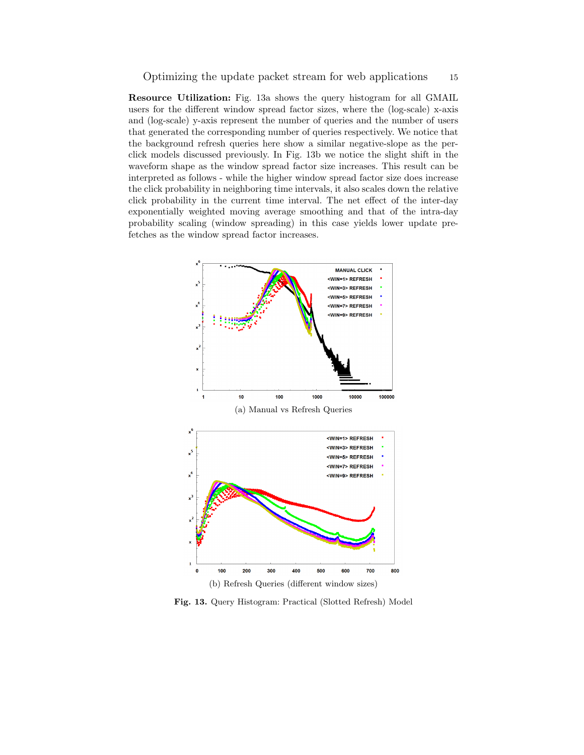Resource Utilization: Fig. 13a shows the query histogram for all GMAIL users for the different window spread factor sizes, where the (log-scale) x-axis and (log-scale) y-axis represent the number of queries and the number of users that generated the corresponding number of queries respectively. We notice that the background refresh queries here show a similar negative-slope as the perclick models discussed previously. In Fig. 13b we notice the slight shift in the waveform shape as the window spread factor size increases. This result can be interpreted as follows - while the higher window spread factor size does increase the click probability in neighboring time intervals, it also scales down the relative click probability in the current time interval. The net effect of the inter-day exponentially weighted moving average smoothing and that of the intra-day probability scaling (window spreading) in this case yields lower update prefetches as the window spread factor increases.



Fig. 13. Query Histogram: Practical (Slotted Refresh) Model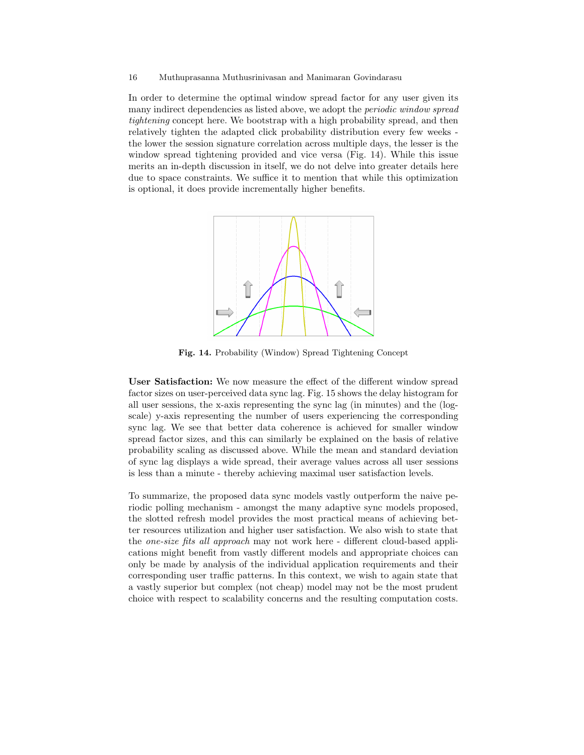In order to determine the optimal window spread factor for any user given its many indirect dependencies as listed above, we adopt the periodic window spread tightening concept here. We bootstrap with a high probability spread, and then relatively tighten the adapted click probability distribution every few weeks the lower the session signature correlation across multiple days, the lesser is the window spread tightening provided and vice versa (Fig. 14). While this issue merits an in-depth discussion in itself, we do not delve into greater details here due to space constraints. We suffice it to mention that while this optimization is optional, it does provide incrementally higher benefits.



Fig. 14. Probability (Window) Spread Tightening Concept

User Satisfaction: We now measure the effect of the different window spread factor sizes on user-perceived data sync lag. Fig. 15 shows the delay histogram for all user sessions, the x-axis representing the sync lag (in minutes) and the (logscale) y-axis representing the number of users experiencing the corresponding sync lag. We see that better data coherence is achieved for smaller window spread factor sizes, and this can similarly be explained on the basis of relative probability scaling as discussed above. While the mean and standard deviation of sync lag displays a wide spread, their average values across all user sessions is less than a minute - thereby achieving maximal user satisfaction levels.

To summarize, the proposed data sync models vastly outperform the naive periodic polling mechanism - amongst the many adaptive sync models proposed, the slotted refresh model provides the most practical means of achieving better resources utilization and higher user satisfaction. We also wish to state that the one-size fits all approach may not work here - different cloud-based applications might benefit from vastly different models and appropriate choices can only be made by analysis of the individual application requirements and their corresponding user traffic patterns. In this context, we wish to again state that a vastly superior but complex (not cheap) model may not be the most prudent choice with respect to scalability concerns and the resulting computation costs.

<sup>16</sup> Muthuprasanna Muthusrinivasan and Manimaran Govindarasu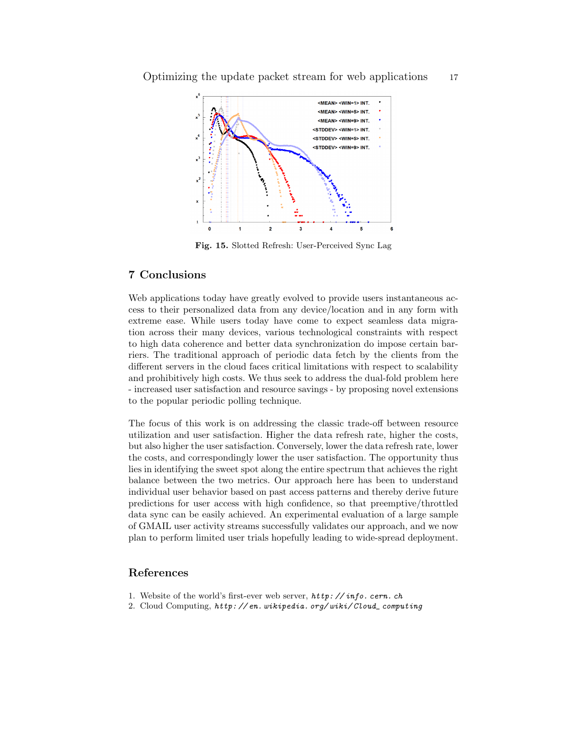

Fig. 15. Slotted Refresh: User-Perceived Sync Lag

# 7 Conclusions

Web applications today have greatly evolved to provide users instantaneous access to their personalized data from any device/location and in any form with extreme ease. While users today have come to expect seamless data migration across their many devices, various technological constraints with respect to high data coherence and better data synchronization do impose certain barriers. The traditional approach of periodic data fetch by the clients from the different servers in the cloud faces critical limitations with respect to scalability and prohibitively high costs. We thus seek to address the dual-fold problem here - increased user satisfaction and resource savings - by proposing novel extensions to the popular periodic polling technique.

The focus of this work is on addressing the classic trade-off between resource utilization and user satisfaction. Higher the data refresh rate, higher the costs, but also higher the user satisfaction. Conversely, lower the data refresh rate, lower the costs, and correspondingly lower the user satisfaction. The opportunity thus lies in identifying the sweet spot along the entire spectrum that achieves the right balance between the two metrics. Our approach here has been to understand individual user behavior based on past access patterns and thereby derive future predictions for user access with high confidence, so that preemptive/throttled data sync can be easily achieved. An experimental evaluation of a large sample of GMAIL user activity streams successfully validates our approach, and we now plan to perform limited user trials hopefully leading to wide-spread deployment.

# References

- 1. Website of the world's first-ever web server, http: // info. cern. ch
- 2. Cloud Computing, http: // en. wikipedia. org/ wiki/ Cloud\_ computing